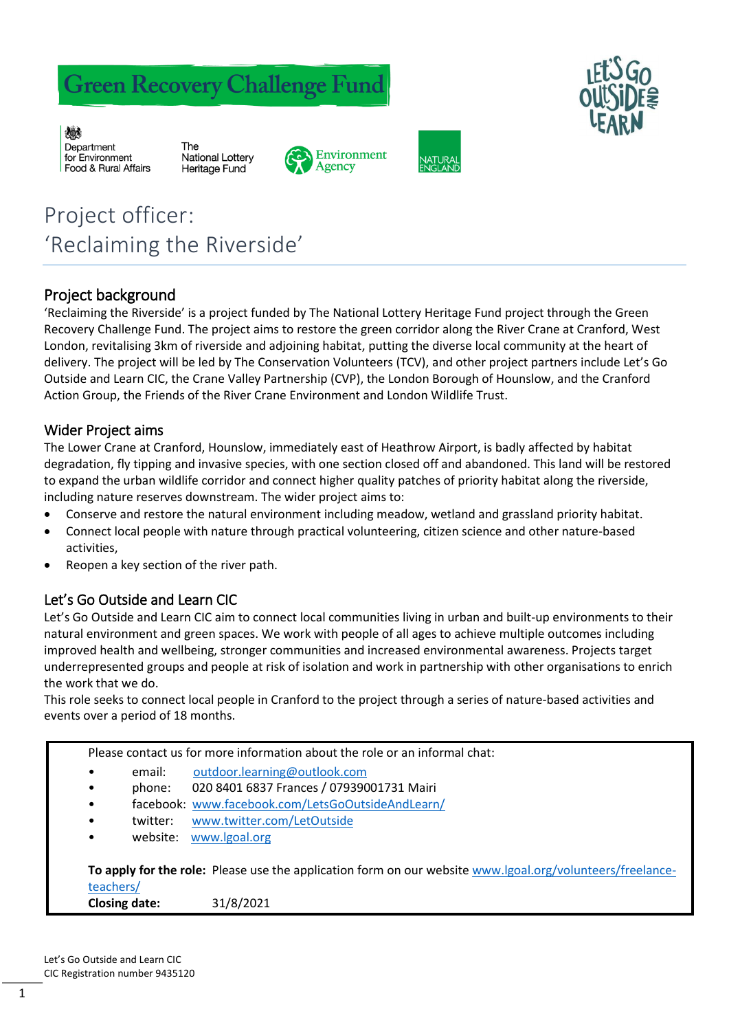



戀 Department for Environment

Food & Rural Affairs

The **National Lottery** Heritage Fund





# Project officer: 'Reclaiming the Riverside'

# Project background

'Reclaiming the Riverside' is a project funded by The National Lottery Heritage Fund project through the Green Recovery Challenge Fund. The project aims to restore the green corridor along the River Crane at Cranford, West London, revitalising 3km of riverside and adjoining habitat, putting the diverse local community at the heart of delivery. The project will be led by The Conservation Volunteers (TCV), and other project partners include Let's Go Outside and Learn CIC, the Crane Valley Partnership (CVP), the London Borough of Hounslow, and the Cranford Action Group, the Friends of the River Crane Environment and London Wildlife Trust.

### Wider Project aims

The Lower Crane at Cranford, Hounslow, immediately east of Heathrow Airport, is badly affected by habitat degradation, fly tipping and invasive species, with one section closed off and abandoned. This land will be restored to expand the urban wildlife corridor and connect higher quality patches of priority habitat along the riverside, including nature reserves downstream. The wider project aims to:

- Conserve and restore the natural environment including meadow, wetland and grassland priority habitat.
- Connect local people with nature through practical volunteering, citizen science and other nature-based activities,
- Reopen a key section of the river path.

# Let's Go Outside and Learn CIC

Let's Go Outside and Learn CIC aim to connect local communities living in urban and built-up environments to their natural environment and green spaces. We work with people of all ages to achieve multiple outcomes including improved health and wellbeing, stronger communities and increased environmental awareness. Projects target underrepresented groups and people at risk of isolation and work in partnership with other organisations to enrich the work that we do.

This role seeks to connect local people in Cranford to the project through a series of nature-based activities and events over a period of 18 months.

Please contact us for more information about the role or an informal chat:

- email: [outdoor.learning@outlook.com](mailto:outdoor.learning@outlook.com)
- phone: 020 8401 6837 Frances / 07939001731 Mairi

• facebook: [www.facebook.com/LetsGoOutsideAndLearn/](http://www.facebook.com/LetsGoOutsideAndLearn/) 

- twitter: www.twitter.com/LetOutside
- website: [www.lgoal.org](http://www.lgoal.org/)

**To apply for the role:** Please use the application form on our website www.lgoal.org/volunteers/freelanceteachers/ **Closing date:** 31/8/2021

Let's Go Outside and Learn CIC CIC Registration number 9435120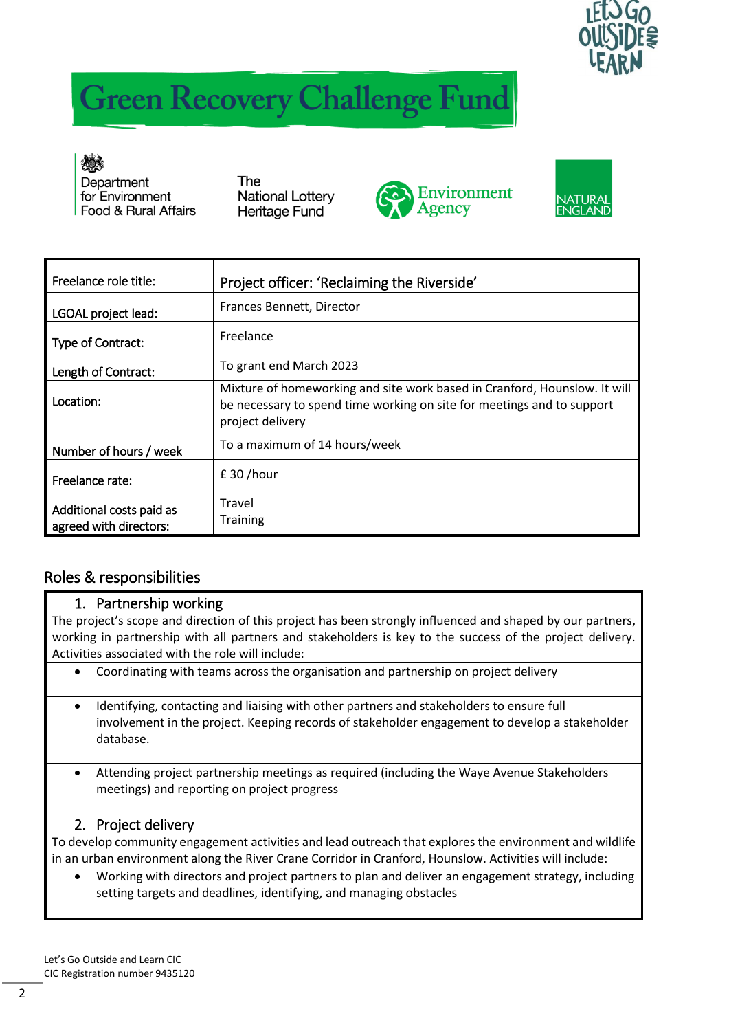

# **Green Recovery Challenge Fund**

後参

Department for Environment Food & Rural Affairs

The **National Lottery Heritage Fund** 





| Freelance role title:                              | Project officer: 'Reclaiming the Riverside'                                                                                                                             |
|----------------------------------------------------|-------------------------------------------------------------------------------------------------------------------------------------------------------------------------|
| LGOAL project lead:                                | Frances Bennett, Director                                                                                                                                               |
| Type of Contract:                                  | Freelance                                                                                                                                                               |
| Length of Contract:                                | To grant end March 2023                                                                                                                                                 |
| Location:                                          | Mixture of homeworking and site work based in Cranford, Hounslow. It will<br>be necessary to spend time working on site for meetings and to support<br>project delivery |
| Number of hours / week                             | To a maximum of 14 hours/week                                                                                                                                           |
| Freelance rate:                                    | £ 30 / hour                                                                                                                                                             |
| Additional costs paid as<br>agreed with directors: | Travel<br><b>Training</b>                                                                                                                                               |

# Roles & responsibilities

# 1. Partnership working

The project's scope and direction of this project has been strongly influenced and shaped by our partners, working in partnership with all partners and stakeholders is key to the success of the project delivery. Activities associated with the role will include:

- Coordinating with teams across the organisation and partnership on project delivery
- Identifying, contacting and liaising with other partners and stakeholders to ensure full involvement in the project. Keeping records of stakeholder engagement to develop a stakeholder database.
- Attending project partnership meetings as required (including the Waye Avenue Stakeholders meetings) and reporting on project progress

# 2. Project delivery

To develop community engagement activities and lead outreach that explores the environment and wildlife in an urban environment along the River Crane Corridor in Cranford, Hounslow. Activities will include:

 Working with directors and project partners to plan and deliver an engagement strategy, including setting targets and deadlines, identifying, and managing obstacles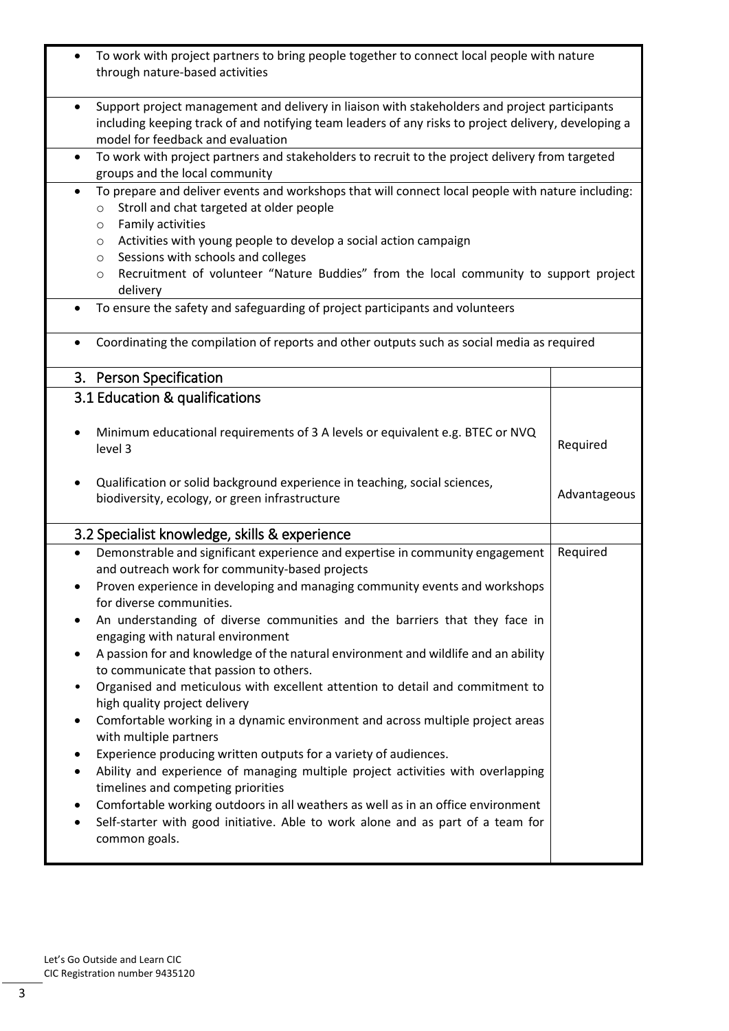| To work with project partners to bring people together to connect local people with nature<br>through nature-based activities                                                                                                                                                                                           |              |  |  |
|-------------------------------------------------------------------------------------------------------------------------------------------------------------------------------------------------------------------------------------------------------------------------------------------------------------------------|--------------|--|--|
| Support project management and delivery in liaison with stakeholders and project participants<br>$\bullet$<br>including keeping track of and notifying team leaders of any risks to project delivery, developing a<br>model for feedback and evaluation                                                                 |              |  |  |
| To work with project partners and stakeholders to recruit to the project delivery from targeted<br>$\bullet$<br>groups and the local community<br>To prepare and deliver events and workshops that will connect local people with nature including:<br>$\bullet$                                                        |              |  |  |
| Stroll and chat targeted at older people<br>$\circ$<br>Family activities<br>$\circ$<br>Activities with young people to develop a social action campaign<br>$\circ$<br>Sessions with schools and colleges<br>$\circ$<br>Recruitment of volunteer "Nature Buddies" from the local community to support project<br>$\circ$ |              |  |  |
| delivery<br>To ensure the safety and safeguarding of project participants and volunteers<br>$\bullet$                                                                                                                                                                                                                   |              |  |  |
| Coordinating the compilation of reports and other outputs such as social media as required                                                                                                                                                                                                                              |              |  |  |
| 3. Person Specification                                                                                                                                                                                                                                                                                                 |              |  |  |
| 3.1 Education & qualifications                                                                                                                                                                                                                                                                                          |              |  |  |
| Minimum educational requirements of 3 A levels or equivalent e.g. BTEC or NVQ<br>level 3                                                                                                                                                                                                                                | Required     |  |  |
| Qualification or solid background experience in teaching, social sciences,<br>biodiversity, ecology, or green infrastructure                                                                                                                                                                                            | Advantageous |  |  |
| 3.2 Specialist knowledge, skills & experience                                                                                                                                                                                                                                                                           |              |  |  |
| Demonstrable and significant experience and expertise in community engagement<br>and outreach work for community-based projects                                                                                                                                                                                         | Required     |  |  |
| Proven experience in developing and managing community events and workshops<br>for diverse communities.                                                                                                                                                                                                                 |              |  |  |
| An understanding of diverse communities and the barriers that they face in<br>engaging with natural environment                                                                                                                                                                                                         |              |  |  |
| A passion for and knowledge of the natural environment and wildlife and an ability<br>to communicate that passion to others.<br>Organised and meticulous with excellent attention to detail and commitment to<br>high quality project delivery                                                                          |              |  |  |
| Comfortable working in a dynamic environment and across multiple project areas<br>٠<br>with multiple partners                                                                                                                                                                                                           |              |  |  |
| Experience producing written outputs for a variety of audiences.<br>٠<br>Ability and experience of managing multiple project activities with overlapping<br>$\bullet$<br>timelines and competing priorities                                                                                                             |              |  |  |
| Comfortable working outdoors in all weathers as well as in an office environment<br>٠<br>Self-starter with good initiative. Able to work alone and as part of a team for<br>$\bullet$<br>common goals.                                                                                                                  |              |  |  |